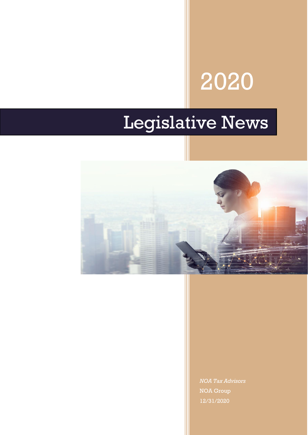# 2020

# Legislative News



*NOA Tax Advisors* NOA Group 12/31/2020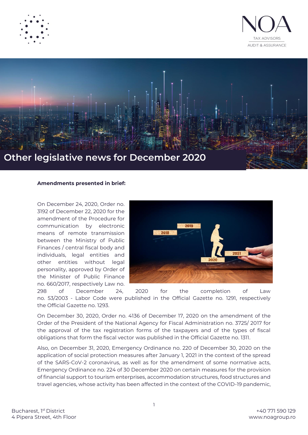





#### **Amendments presented in brief:**

On December 24, 2020, Order no. 3192 of December 22, 2020 for the amendment of the Procedure for communication by electronic means of remote transmission between the Ministry of Public Finances / central fiscal body and individuals, legal entities and other entities without legal personality, approved by Order of the Minister of Public Finance no. 660/2017, respectively Law no.



298 of December 24, 2020 for the completion of Law no. 53/2003 - Labor Code were published in the Official Gazette no. 1291, respectively the Official Gazette no. 1293.

On December 30, 2020, Order no. 4136 of December 17, 2020 on the amendment of the Order of the President of the National Agency for Fiscal Administration no. 3725/ 2017 for the approval of the tax registration forms of the taxpayers and of the types of fiscal obligations that form the fiscal vector was published in the Official Gazette no. 1311.

Also, on December 31, 2020, Emergency Ordinance no. 220 of December 30, 2020 on the application of social protection measures after January 1, 2021 in the context of the spread of the SARS-CoV-2 coronavirus, as well as for the amendment of some normative acts, Emergency Ordinance no. 224 of 30 December 2020 on certain measures for the provision of financial support to tourism enterprises, accommodation structures, food structures and travel agencies, whose activity has been affected in the context of the COVID-19 pandemic,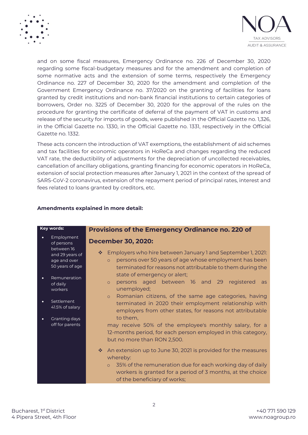



and on some fiscal measures, Emergency Ordinance no. 226 of December 30, 2020 regarding some fiscal-budgetary measures and for the amendment and completion of some normative acts and the extension of some terms, respectively the Emergency Ordinance no. 227 of December 30, 2020 for the amendment and completion of the Government Emergency Ordinance no. 37/2020 on the granting of facilities for loans granted by credit institutions and non-bank financial institutions to certain categories of borrowers, Order no. 3225 of December 30, 2020 for the approval of the rules on the procedure for granting the certificate of deferral of the payment of VAT in customs and release of the security for imports of goods, were published in the Official Gazette no. 1,326, in the Official Gazette no. 1330, in the Official Gazette no. 1331, respectively in the Official Gazette no. 1332.

These acts concern the introduction of VAT exemptions, the establishment of aid schemes and tax facilities for economic operators in HoReCa and changes regarding the reduced VAT rate, the deductibility of adjustments for the depreciation of uncollected receivables, cancellation of ancillary obligations, granting financing for economic operators in HoReCa, extension of social protection measures after January 1, 2021 in the context of the spread of SARS-CoV-2 coronavirus, extension of the repayment period of principal rates, interest and fees related to loans granted by creditors, etc.

# **Amendments explained in more detail:**

| Key words: |                                                                  | <b>Provisions of the Emergency Ordinance no. 220 of</b>                                                                                                                                                                                              |  |  |  |
|------------|------------------------------------------------------------------|------------------------------------------------------------------------------------------------------------------------------------------------------------------------------------------------------------------------------------------------------|--|--|--|
|            | Employment<br>of persons                                         | <b>December 30, 2020:</b>                                                                                                                                                                                                                            |  |  |  |
|            | between 16<br>and 29 years of<br>age and over<br>50 years of age | Employers who hire between January 1 and September 1, 2021:<br>樂<br>persons over 50 years of age whose employment has been<br>$\circ$<br>terminated for reasons not attributable to them during the                                                  |  |  |  |
|            | Remuneration<br>of daily<br>workers                              | state of emergency or alert;<br>persons aged between 16 and 29 registered<br>as<br>$\circ$<br>unemployed;                                                                                                                                            |  |  |  |
|            | Settlement<br>41.5% of salary                                    | Romanian citizens, of the same age categories, having<br>$\circ$<br>terminated in 2020 their employment relationship with<br>employers from other states, for reasons not attributable                                                               |  |  |  |
| $\bullet$  | Granting days<br>off for parents                                 | to them,<br>may receive 50% of the employee's monthly salary, for a<br>12-months period, for each person employed in this category,<br>but no more than RON 2,500.                                                                                   |  |  |  |
|            |                                                                  | An extension up to June 30, 2021 is provided for the measures<br>桑<br>whereby:<br>35% of the remuneration due for each working day of daily<br>$\circ$<br>workers is granted for a period of 3 months, at the choice<br>of the beneficiary of works; |  |  |  |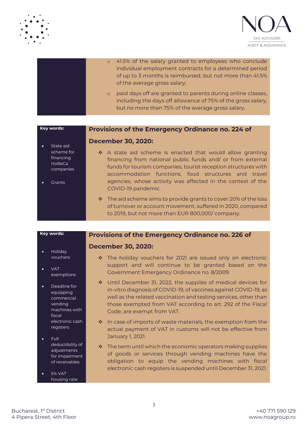



|         | o 41.5% of the salary granted to employees who conclude<br>individual employment contracts for a determined period<br>of up to 3 months is reimbursed, but not more than 41.5%<br>of the average gross salary; |
|---------|----------------------------------------------------------------------------------------------------------------------------------------------------------------------------------------------------------------|
| $\circ$ | paid days off are granted to parents during online classes,<br>including the days off allowance of 75% of the gross salary,<br>but no more than 75% of the average gross salary.                               |

# **Provisions of the Emergency Ordinance no. 224 of**

## **December 30, 2020:**

- State aid scheme for financing HoReCa companies
- **Grants**

**Key words:**

- ❖ A state aid scheme is enacted that would allow granting financing from national public funds and/ or from external funds for tourism companies, tourist reception structures with accommodation functions, food structures and travel agencies, whose activity was affected in the context of the COVID-19 pandemic.
- ❖ The aid scheme aims to provide grants to cover 20% of the loss of turnover or account movement, suffered in 2020, compared to 2019, but not more than EUR 800,000/ company.

**Provisions of the Emergency Ordinance no. 226 of**

#### **Key words:**

- **December 30, 2020:**
- Holiday vouchers
- VAT exemptions
- Deadline for equipping commercial vending machines with ficcal electronic cash registers
- Full deductibility of adjustments for impairment of receivables
- 5% VAT housing rate
- ❖ The holiday vouchers for 2021 are issued only on electronic support and will continue to be granted based on the Government Emergency Ordinance no. 8/2009.
- ❖ Until December 31, 2022, the supplies of medical devices for in-vitro diagnosis of COVID-19, of vaccines against COVID-19, as well as the related vaccination and testing services, other than those exempted from VAT according to art. 292 of the Fiscal Code, are exempt from VAT.
- ❖ In case of imports of waste materials, the exemption from the actual payment of VAT in customs will not be effective from January 1, 2021.
- ❖ The term until which the economic operators making supplies of goods or services through vending machines have the obligation to equip the vending machines with fiscal electronic cash registers is suspended until December 31, 2021.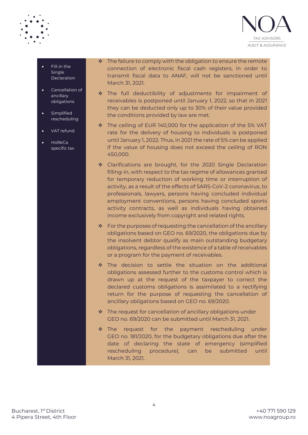



- Fill-in the Single Declaration
- Cancellation of ancillary obligations
- **Simplified** rescheduling
- VAT refund
- HoReCa specific tax

❖ The failure to comply with the obligation to ensure the remote connection of electronic fiscal cash registers, in order to transmit fiscal data to ANAF, will not be sanctioned until March 31, 2021.

- ❖ The full deductibility of adjustments for impairment of receivables is postponed until January 1, 2022, so that in 2021 they can be deducted only up to 30% of their value provided the conditions provided by law are met.
- ❖ The ceiling of EUR 140,000 for the application of the 5% VAT rate for the delivery of housing to individuals is postponed until January 1, 2022. Thus, in 2021 the rate of 5% can be applied if the value of housing does not exceed the ceiling of RON 450,000.
- ❖ Clarifications are brought, for the 2020 Single Declaration filling-in, with respect to the tax regime of allowances granted for temporary reduction of working time or interruption of activity, as a result of the effects of SARS-CoV-2 coronavirus, to professionals, lawyers, persons having concluded individual employment conventions, persons having concluded sports activity contracts, as well as individuals having obtained income exclusively from copyright and related rights.
- $\cdot \cdot$  For the purposes of requesting the cancellation of the ancillary obligations based on GEO no. 69/2020, the obligations due by the insolvent debtor qualify as main outstanding budgetary obligations, regardless of the existence of a table of receivables or a program for the payment of receivables.
- ❖ The decision to settle the situation on the additional obligations assessed further to the customs control which is drawn up at the request of the taxpayer to correct the declared customs obligations is assimilated to a rectifying return for the purpose of requesting the cancellation of ancillary obligations based on GEO no. 69/2020.
- ❖ The request for cancellation of ancillary obligations under GEO no. 69/2020 can be submitted until March 31, 2021.
- ❖ The request for the payment rescheduling under GEO no. 181/2020, for the budgetary obligations due after the date of declaring the state of emergency (simplified rescheduling procedure), can be submitted until March 31, 2021.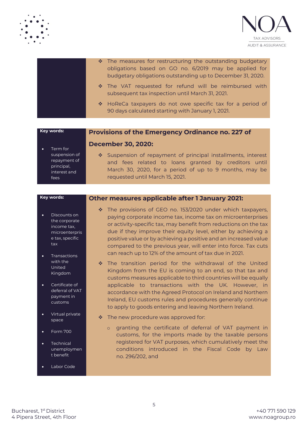



| * The measures for restructuring the outstanding budgetary<br>obligations based on GO no. 6/2019 may be applied for<br>budgetary obligations outstanding up to December 31, 2020. |
|-----------------------------------------------------------------------------------------------------------------------------------------------------------------------------------|
| * The VAT requested for refund will be reimbursed with<br>subsequent tax inspection until March 31, 2021.                                                                         |
| * HoReCa taxpayers do not owe specific tax for a period of<br>90 days calculated starting with January 1, 2021.                                                                   |

**December 30, 2020:**

#### **Provisions of the Emergency Ordinance no. 227 of**

#### Term for suspension of repayment of principal, interest and fees

❖ Suspension of repayment of principal installments, interest and fees related to loans granted by creditors until March 30, 2020, for a period of up to 9 months, may be requested until March 15, 2021.

#### **Key words:**

**Key words:**

- Discounts on the corporate income tax, microenterpris e tax, specific tax
- Transactions with the United Kingdom
- Certificate of deferral of VAT payment in customs
- Virtual private space
- Form 700
- **Technical** unemploymen t benefit
- Labor Code

### **Other measures applicable after 1 January 2021:**

- ❖ The provisions of GEO no. 153/2020 under which taxpayers, paying corporate income tax, income tax on microenterprises or activity-specific tax, may benefit from reductions on the tax due if they improve their equity level, either by achieving a positive value or by achieving a positive and an increased value compared to the previous year, will enter into force. Tax cuts can reach up to 12% of the amount of tax due in 2021.
- ❖ The transition period for the withdrawal of the United Kingdom from the EU is coming to an end, so that tax and customs measures applicable to third countries will be equally applicable to transactions with the UK. However, in accordance with the Agreed Protocol on Ireland and Northern Ireland, EU customs rules and procedures generally continue to apply to goods entering and leaving Northern Ireland.
- ❖ The new procedure was approved for:
	- o granting the certificate of deferral of VAT payment in customs, for the imports made by the taxable persons registered for VAT purposes, which cumulatively meet the conditions introduced in the Fiscal Code by Law no. 296/202, and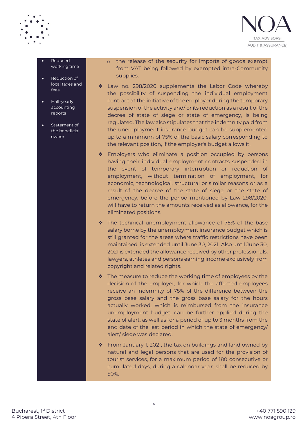

#### • Reduced working time

- **Reduction of** local taxes and fees
- Half-yearly accounting reports
- Statement of the beneficial owner

o the release of the security for imports of goods exempt from VAT being followed by exempted intra-Community supplies.

- ❖ Law no. 298/2020 supplements the Labor Code whereby the possibility of suspending the individual employment contract at the initiative of the employer during the temporary suspension of the activity and/ or its reduction as a result of the decree of state of siege or state of emergency, is being regulated. The law also stipulates that the indemnity paid from the unemployment insurance budget can be supplemented up to a minimum of 75% of the basic salary corresponding to the relevant position, if the employer's budget allows it.
- ❖ Employers who eliminate a position occupied by persons having their individual employment contracts suspended in the event of temporary interruption or reduction of employment, without termination of employment, for economic, technological, structural or similar reasons or as a result of the decree of the state of siege or the state of emergency, before the period mentioned by Law 298/2020, will have to return the amounts received as allowance, for the eliminated positions.
- ❖ The technical unemployment allowance of 75% of the base salary borne by the unemployment insurance budget which is still granted for the areas where traffic restrictions have been maintained, is extended until June 30, 2021. Also until June 30, 2021 is extended the allowance received by other professionals, lawyers, athletes and persons earning income exclusively from copyright and related rights.
- $\cdot \cdot$  The measure to reduce the working time of employees by the decision of the employer, for which the affected employees receive an indemnity of 75% of the difference between the gross base salary and the gross base salary for the hours actually worked, which is reimbursed from the insurance unemployment budget, can be further applied during the state of alert, as well as for a period of up to 3 months from the end date of the last period in which the state of emergency/ alert/ siege was declared.
- ❖ From January 1, 2021, the tax on buildings and land owned by natural and legal persons that are used for the provision of tourist services, for a maximum period of 180 consecutive or cumulated days, during a calendar year, shall be reduced by 50%.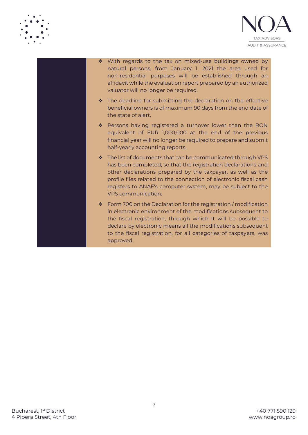



- ❖ With regards to the tax on mixed-use buildings owned by natural persons, from January 1, 2021 the area used for non-residential purposes will be established through an affidavit while the evaluation report prepared by an authorized valuator will no longer be required.
	- ❖ The deadline for submitting the declaration on the effective beneficial owners is of maximum 90 days from the end date of the state of alert.
	- ❖ Persons having registered a turnover lower than the RON equivalent of EUR 1,000,000 at the end of the previous financial year will no longer be required to prepare and submit half-yearly accounting reports.
	- ❖ The list of documents that can be communicated through VPS has been completed, so that the registration declarations and other declarations prepared by the taxpayer, as well as the profile files related to the connection of electronic fiscal cash registers to ANAF's computer system, may be subject to the VPS communication.
	- $\cdot$  Form 700 on the Declaration for the registration / modification in electronic environment of the modifications subsequent to the fiscal registration, through which it will be possible to declare by electronic means all the modifications subsequent to the fiscal registration, for all categories of taxpayers, was approved.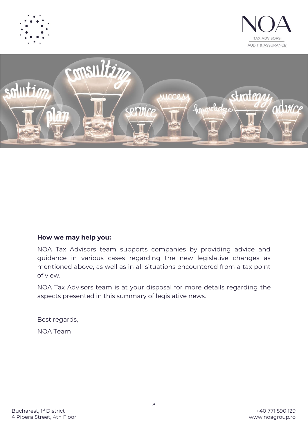





# **How we may help you:**

NOA Tax Advisors team supports companies by providing advice and guidance in various cases regarding the new legislative changes as mentioned above, as well as in all situations encountered from a tax point of view.

NOA Tax Advisors team is at your disposal for more details regarding the aspects presented in this summary of legislative news.

Best regards,

NOA Team